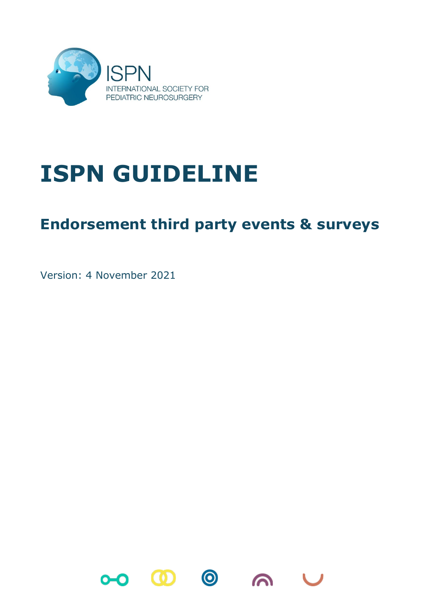

# **ISPN GUIDELINE**

# **Endorsement third party events & surveys**

Version: 4 November 2021

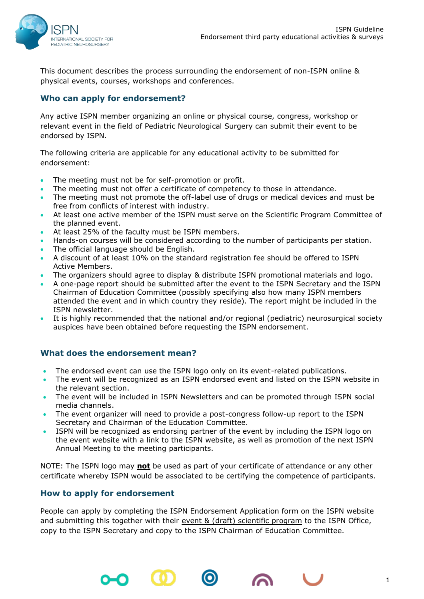

This document describes the process surrounding the endorsement of non-ISPN online & physical events, courses, workshops and conferences.

## **Who can apply for endorsement?**

Any active ISPN member organizing an online or physical course, congress, workshop or relevant event in the field of Pediatric Neurological Surgery can submit their event to be endorsed by ISPN.

The following criteria are applicable for any educational activity to be submitted for endorsement:

- The meeting must not be for self-promotion or profit.
- The meeting must not offer a certificate of competency to those in attendance.
- The meeting must not promote the off-label use of drugs or medical devices and must be free from conflicts of interest with industry.
- At least one active member of the ISPN must serve on the Scientific Program Committee of the planned event.
- At least 25% of the faculty must be ISPN members.
- Hands-on courses will be considered according to the number of participants per station.
- The official language should be English.
- A discount of at least 10% on the standard registration fee should be offered to ISPN Active Members.
- The organizers should agree to display & distribute ISPN promotional materials and logo.
- A one-page report should be submitted after the event to the ISPN Secretary and the ISPN Chairman of Education Committee (possibly specifying also how many ISPN members attended the event and in which country they reside). The report might be included in the ISPN newsletter.
- It is highly recommended that the national and/or regional (pediatric) neurosurgical society auspices have been obtained before requesting the ISPN endorsement.

### **What does the endorsement mean?**

- The endorsed event can use the ISPN logo only on its event-related publications.
- The event will be recognized as an ISPN endorsed event and listed on the ISPN website in the relevant section.
- The event will be included in ISPN Newsletters and can be promoted through ISPN social media channels.
- The event organizer will need to provide a post-congress follow-up report to the ISPN Secretary and Chairman of the Education Committee.
- ISPN will be recognized as endorsing partner of the event by including the ISPN logo on the event website with a link to the ISPN website, as well as promotion of the next ISPN Annual Meeting to the meeting participants.

NOTE: The ISPN logo may **not** be used as part of your certificate of attendance or any other certificate whereby ISPN would be associated to be certifying the competence of participants.

### **How to apply for endorsement**

People can apply by completing the ISPN Endorsement Application form on the ISPN website and submitting this together with their event & (draft) scientific program to the ISPN Office, copy to the ISPN Secretary and copy to the ISPN Chairman of Education Committee.